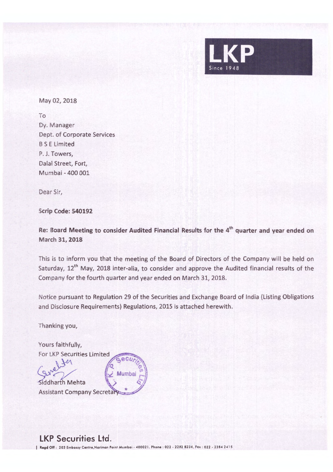

May 02, 2018

To Dy. Manager Dept. of Corporate Services B S E Limited P. J. Towers, Dalal Street, Fort, Mumbai - 400 001

Dear Sir,

**Scrip Code: 540192** 

**Re: Board Meeting to consider Audited Financial Results for the 4th quarter and year ended on March 31, 2018** 

This is to inform you that the meeting of the Board of Directors of the Company will be held on Saturday, 12<sup>th</sup> May, 2018 inter-alia, to consider and approve the Audited financial results of the Company for the fourth quarter and year ended on March 31, 2018.

Notice pursuant to Regulation 29 of the Securities and Exchange Board of India (Listing Obligations and Disclosure Requirements) Regulations, 2015 is attached herewith.

Thanking you,

Yours faithfully, For LKP Securities Limited

 $k\rho$ Mumbai Siddharth Mehta **Assistant Company Secreta** 

**LKP Securities Ltd.** 

I **bgd** Off : 203 Embassy Centre,Norimon Point Mumbo, • 40002 1. Phone : 022 • 2282 8234, Fox , 0 22 - 2284 2• <sup>1</sup>*<sup>S</sup>*

 $60L$